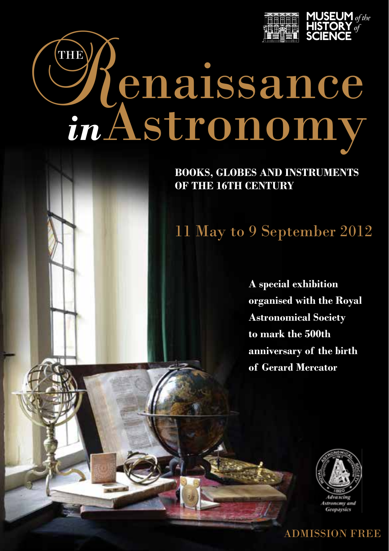

# Chenaissance *in*Astronomy

**BOOKS, GLOBES AND INSTRUMENTS OF THE 16TH CENTURY**

## 11 May to 9 September 2012

**A special exhibition organised with the Royal Astronomical Society to mark the 500th anniversary of the birth of Gerard Mercator**



ADMISSION FREE